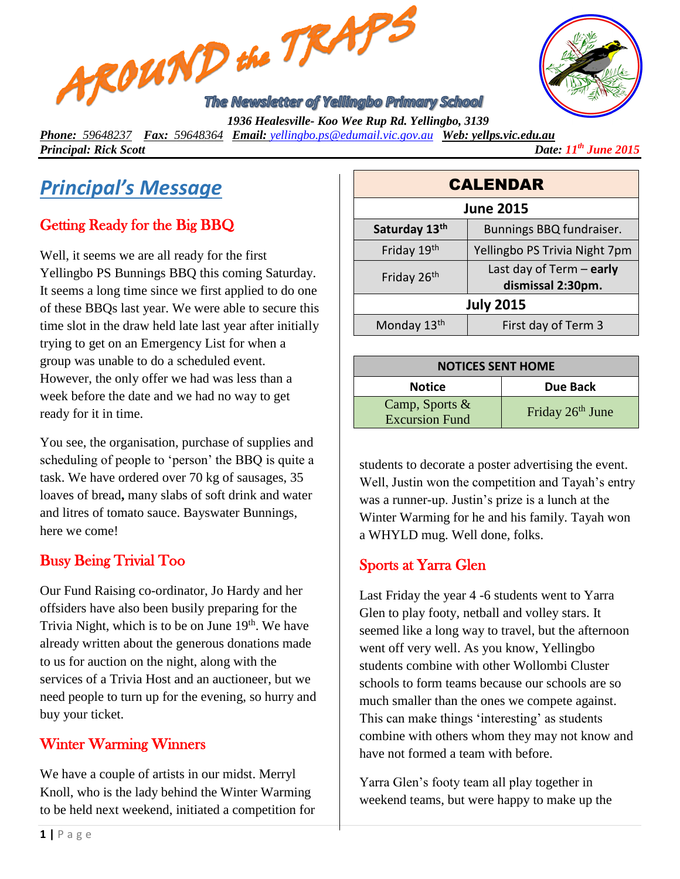



*Phone: 59648237 Fax: 59648364 Email: [yellingbo.ps@edumail.vic.gov.au](mailto:yellingbo.ps@edumail.vic.gov.au) Web: yellps.vic.edu.au Principal: Rick Scott Date: 11th June 2015*

# *Principal's Message*

## Getting Ready for the Big BBQ

Well, it seems we are all ready for the first Yellingbo PS Bunnings BBQ this coming Saturday. It seems a long time since we first applied to do one of these BBQs last year. We were able to secure this time slot in the draw held late last year after initially trying to get on an Emergency List for when a group was unable to do a scheduled event. However, the only offer we had was less than a week before the date and we had no way to get ready for it in time.

You see, the organisation, purchase of supplies and scheduling of people to 'person' the BBQ is quite a task. We have ordered over 70 kg of sausages, 35 loaves of bread**,** many slabs of soft drink and water and litres of tomato sauce. Bayswater Bunnings, here we come!

#### Busy Being Trivial Too

Our Fund Raising co-ordinator, Jo Hardy and her offsiders have also been busily preparing for the Trivia Night, which is to be on June  $19<sup>th</sup>$ . We have already written about the generous donations made to us for auction on the night, along with the services of a Trivia Host and an auctioneer, but we need people to turn up for the evening, so hurry and buy your ticket.

#### Winter Warming Winners

We have a couple of artists in our midst. Merryl Knoll, who is the lady behind the Winter Warming to be held next weekend, initiated a competition for

| <b>CALENDAR</b>         |                                                 |  |
|-------------------------|-------------------------------------------------|--|
| <b>June 2015</b>        |                                                 |  |
| Saturday 13th           | Bunnings BBQ fundraiser.                        |  |
| Friday 19th             | Yellingbo PS Trivia Night 7pm                   |  |
| Friday 26 <sup>th</sup> | Last day of Term $-$ early<br>dismissal 2:30pm. |  |
| <b>July 2015</b>        |                                                 |  |
| Monday 13th             | First day of Term 3                             |  |

| <b>NOTICES SENT HOME</b>                   |                              |  |
|--------------------------------------------|------------------------------|--|
| <b>Notice</b>                              | Due Back                     |  |
| Camp, Sports $\&$<br><b>Excursion Fund</b> | Friday 26 <sup>th</sup> June |  |

students to decorate a poster advertising the event. Well, Justin won the competition and Tayah's entry was a runner-up. Justin's prize is a lunch at the Winter Warming for he and his family. Tayah won a WHYLD mug. Well done, folks.

#### Sports at Yarra Glen

Last Friday the year 4 -6 students went to Yarra Glen to play footy, netball and volley stars. It seemed like a long way to travel, but the afternoon went off very well. As you know, Yellingbo students combine with other Wollombi Cluster schools to form teams because our schools are so much smaller than the ones we compete against. This can make things 'interesting' as students combine with others whom they may not know and have not formed a team with before.

Yarra Glen's footy team all play together in weekend teams, but were happy to make up the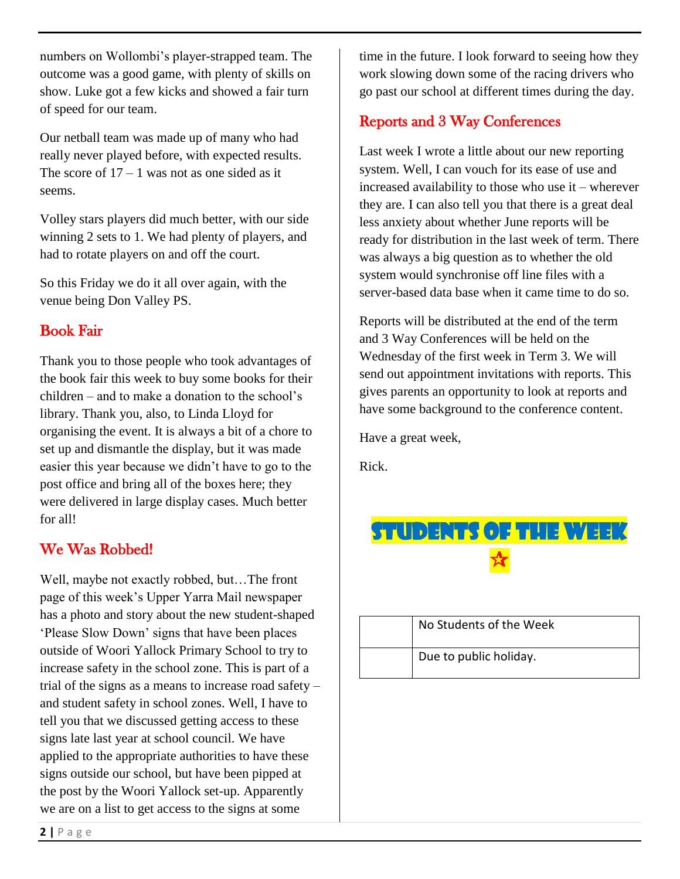numbers on Wollombi's player-strapped team. The outcome was a good game, with plenty of skills on show. Luke got a few kicks and showed a fair turn of speed for our team.

Our netball team was made up of many who had really never played before, with expected results. The score of  $17 - 1$  was not as one sided as it seems.

Volley stars players did much better, with our side winning 2 sets to 1. We had plenty of players, and had to rotate players on and off the court.

So this Friday we do it all over again, with the venue being Don Valley PS.

#### Book Fair

Thank you to those people who took advantages of the book fair this week to buy some books for their children – and to make a donation to the school's library. Thank you, also, to Linda Lloyd for organising the event. It is always a bit of a chore to set up and dismantle the display, but it was made easier this year because we didn't have to go to the post office and bring all of the boxes here; they were delivered in large display cases. Much better for all!

#### We Was Robbed!

Well, maybe not exactly robbed, but…The front page of this week's Upper Yarra Mail newspaper has a photo and story about the new student-shaped 'Please Slow Down' signs that have been places outside of Woori Yallock Primary School to try to increase safety in the school zone. This is part of a trial of the signs as a means to increase road safety – and student safety in school zones. Well, I have to tell you that we discussed getting access to these signs late last year at school council. We have applied to the appropriate authorities to have these signs outside our school, but have been pipped at the post by the Woori Yallock set-up. Apparently we are on a list to get access to the signs at some

time in the future. I look forward to seeing how they work slowing down some of the racing drivers who go past our school at different times during the day.

#### Reports and 3 Way Conferences

Last week I wrote a little about our new reporting system. Well, I can vouch for its ease of use and increased availability to those who use it – wherever they are. I can also tell you that there is a great deal less anxiety about whether June reports will be ready for distribution in the last week of term. There was always a big question as to whether the old system would synchronise off line files with a server-based data base when it came time to do so.

Reports will be distributed at the end of the term and 3 Way Conferences will be held on the Wednesday of the first week in Term 3. We will send out appointment invitations with reports. This gives parents an opportunity to look at reports and have some background to the conference content.

Have a great week,

Rick.



| No Students of the Week |
|-------------------------|
| Due to public holiday.  |